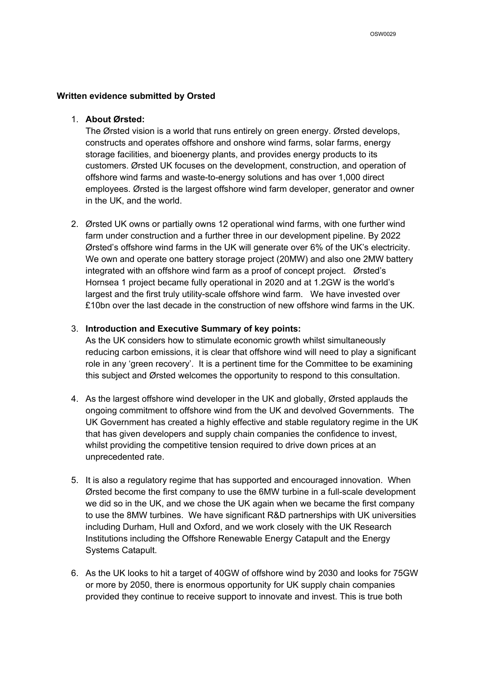### **Written evidence submitted by Orsted**

## 1. **About Ørsted:**

The Ørsted vision is a world that runs entirely on green energy. Ørsted develops, constructs and operates offshore and onshore wind farms, solar farms, energy storage facilities, and bioenergy plants, and provides energy products to its customers. Ørsted UK focuses on the development, construction, and operation of offshore wind farms and waste-to-energy solutions and has over 1,000 direct employees. Ørsted is the largest offshore wind farm developer, generator and owner in the UK, and the world.

2. Ørsted UK owns or partially owns 12 operational wind farms, with one further wind farm under construction and a further three in our development pipeline. By 2022 Ørsted's offshore wind farms in the UK will generate over 6% of the UK's electricity. We own and operate one battery storage project (20MW) and also one 2MW battery integrated with an offshore wind farm as a proof of concept project. Ørsted's Hornsea 1 project became fully operational in 2020 and at 1.2GW is the world's largest and the first truly utility-scale offshore wind farm. We have invested over £10bn over the last decade in the construction of new offshore wind farms in the UK.

### 3. **Introduction and Executive Summary of key points:**

As the UK considers how to stimulate economic growth whilst simultaneously reducing carbon emissions, it is clear that offshore wind will need to play a significant role in any 'green recovery'. It is a pertinent time for the Committee to be examining this subject and Ørsted welcomes the opportunity to respond to this consultation.

- 4. As the largest offshore wind developer in the UK and globally, Ørsted applauds the ongoing commitment to offshore wind from the UK and devolved Governments. The UK Government has created a highly effective and stable regulatory regime in the UK that has given developers and supply chain companies the confidence to invest, whilst providing the competitive tension required to drive down prices at an unprecedented rate.
- 5. It is also a regulatory regime that has supported and encouraged innovation. When Ørsted become the first company to use the 6MW turbine in a full-scale development we did so in the UK, and we chose the UK again when we became the first company to use the 8MW turbines. We have significant R&D partnerships with UK universities including Durham, Hull and Oxford, and we work closely with the UK Research Institutions including the Offshore Renewable Energy Catapult and the Energy Systems Catapult.
- 6. As the UK looks to hit a target of 40GW of offshore wind by 2030 and looks for 75GW or more by 2050, there is enormous opportunity for UK supply chain companies provided they continue to receive support to innovate and invest. This is true both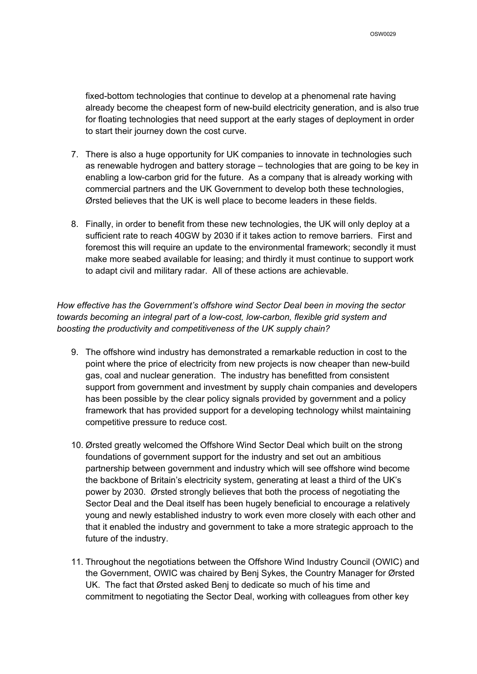fixed-bottom technologies that continue to develop at a phenomenal rate having already become the cheapest form of new-build electricity generation, and is also true for floating technologies that need support at the early stages of deployment in order to start their journey down the cost curve.

- 7. There is also a huge opportunity for UK companies to innovate in technologies such as renewable hydrogen and battery storage – technologies that are going to be key in enabling a low-carbon grid for the future. As a company that is already working with commercial partners and the UK Government to develop both these technologies, Ørsted believes that the UK is well place to become leaders in these fields.
- 8. Finally, in order to benefit from these new technologies, the UK will only deploy at a sufficient rate to reach 40GW by 2030 if it takes action to remove barriers. First and foremost this will require an update to the environmental framework; secondly it must make more seabed available for leasing; and thirdly it must continue to support work to adapt civil and military radar. All of these actions are achievable.

*How effective has the Government's offshore wind Sector Deal been in moving the sector towards becoming an integral part of a low-cost, low-carbon, flexible grid system and boosting the productivity and competitiveness of the UK supply chain?*

- 9. The offshore wind industry has demonstrated a remarkable reduction in cost to the point where the price of electricity from new projects is now cheaper than new-build gas, coal and nuclear generation. The industry has benefitted from consistent support from government and investment by supply chain companies and developers has been possible by the clear policy signals provided by government and a policy framework that has provided support for a developing technology whilst maintaining competitive pressure to reduce cost.
- 10. Ørsted greatly welcomed the Offshore Wind Sector Deal which built on the strong foundations of government support for the industry and set out an ambitious partnership between government and industry which will see offshore wind become the backbone of Britain's electricity system, generating at least a third of the UK's power by 2030. Ørsted strongly believes that both the process of negotiating the Sector Deal and the Deal itself has been hugely beneficial to encourage a relatively young and newly established industry to work even more closely with each other and that it enabled the industry and government to take a more strategic approach to the future of the industry.
- 11. Throughout the negotiations between the Offshore Wind Industry Council (OWIC) and the Government, OWIC was chaired by Benj Sykes, the Country Manager for Ørsted UK. The fact that Ørsted asked Benj to dedicate so much of his time and commitment to negotiating the Sector Deal, working with colleagues from other key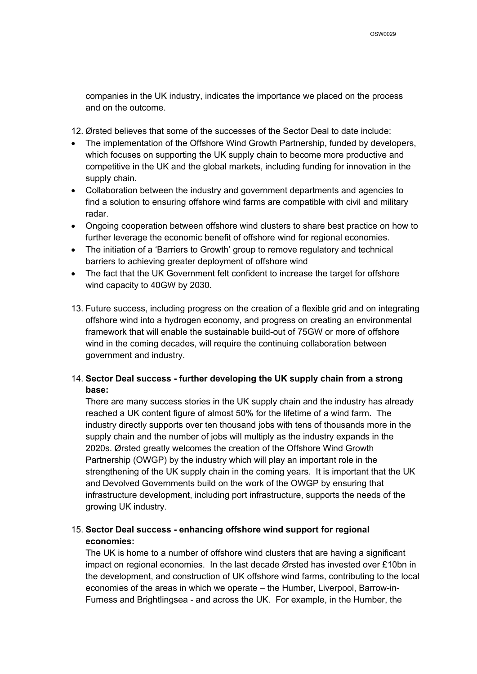companies in the UK industry, indicates the importance we placed on the process and on the outcome.

12. Ørsted believes that some of the successes of the Sector Deal to date include:

- The implementation of the Offshore Wind Growth Partnership, funded by developers, which focuses on supporting the UK supply chain to become more productive and competitive in the UK and the global markets, including funding for innovation in the supply chain.
- Collaboration between the industry and government departments and agencies to find a solution to ensuring offshore wind farms are compatible with civil and military radar.
- Ongoing cooperation between offshore wind clusters to share best practice on how to further leverage the economic benefit of offshore wind for regional economies.
- The initiation of a 'Barriers to Growth' group to remove regulatory and technical barriers to achieving greater deployment of offshore wind
- The fact that the UK Government felt confident to increase the target for offshore wind capacity to 40GW by 2030.
- 13. Future success, including progress on the creation of a flexible grid and on integrating offshore wind into a hydrogen economy, and progress on creating an environmental framework that will enable the sustainable build-out of 75GW or more of offshore wind in the coming decades, will require the continuing collaboration between government and industry.

## 14. **Sector Deal success - further developing the UK supply chain from a strong base:**

There are many success stories in the UK supply chain and the industry has already reached a UK content figure of almost 50% for the lifetime of a wind farm. The industry directly supports over ten thousand jobs with tens of thousands more in the supply chain and the number of jobs will multiply as the industry expands in the 2020s. Ørsted greatly welcomes the creation of the Offshore Wind Growth Partnership (OWGP) by the industry which will play an important role in the strengthening of the UK supply chain in the coming years. It is important that the UK and Devolved Governments build on the work of the OWGP by ensuring that infrastructure development, including port infrastructure, supports the needs of the growing UK industry.

# 15. **Sector Deal success - enhancing offshore wind support for regional economies:**

The UK is home to a number of offshore wind clusters that are having a significant impact on regional economies. In the last decade Ørsted has invested over £10bn in the development, and construction of UK offshore wind farms, contributing to the local economies of the areas in which we operate – the Humber, Liverpool, Barrow-in-Furness and Brightlingsea - and across the UK. For example, in the Humber, the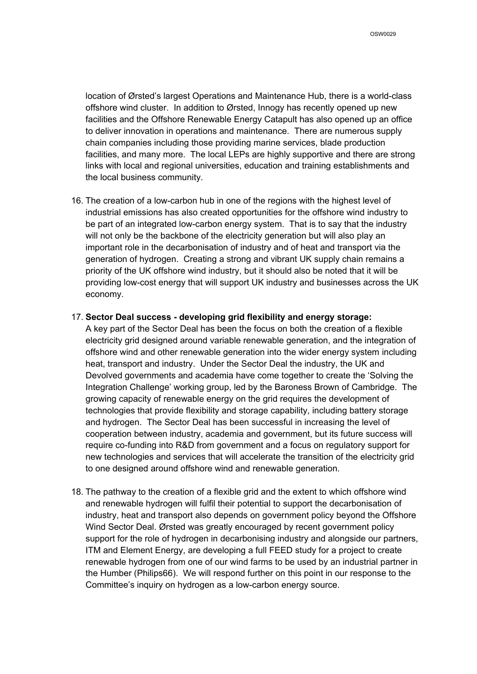location of Ørsted's largest Operations and Maintenance Hub, there is a world-class offshore wind cluster. In addition to Ørsted, Innogy has recently opened up new facilities and the Offshore Renewable Energy Catapult has also opened up an office to deliver innovation in operations and maintenance. There are numerous supply chain companies including those providing marine services, blade production facilities, and many more. The local LEPs are highly supportive and there are strong links with local and regional universities, education and training establishments and the local business community.

16. The creation of a low-carbon hub in one of the regions with the highest level of industrial emissions has also created opportunities for the offshore wind industry to be part of an integrated low-carbon energy system. That is to say that the industry will not only be the backbone of the electricity generation but will also play an important role in the decarbonisation of industry and of heat and transport via the generation of hydrogen. Creating a strong and vibrant UK supply chain remains a priority of the UK offshore wind industry, but it should also be noted that it will be providing low-cost energy that will support UK industry and businesses across the UK economy.

### 17. **Sector Deal success - developing grid flexibility and energy storage:**

A key part of the Sector Deal has been the focus on both the creation of a flexible electricity grid designed around variable renewable generation, and the integration of offshore wind and other renewable generation into the wider energy system including heat, transport and industry. Under the Sector Deal the industry, the UK and Devolved governments and academia have come together to create the 'Solving the Integration Challenge' working group, led by the Baroness Brown of Cambridge. The growing capacity of renewable energy on the grid requires the development of technologies that provide flexibility and storage capability, including battery storage and hydrogen. The Sector Deal has been successful in increasing the level of cooperation between industry, academia and government, but its future success will require co-funding into R&D from government and a focus on regulatory support for new technologies and services that will accelerate the transition of the electricity grid to one designed around offshore wind and renewable generation.

18. The pathway to the creation of a flexible grid and the extent to which offshore wind and renewable hydrogen will fulfil their potential to support the decarbonisation of industry, heat and transport also depends on government policy beyond the Offshore Wind Sector Deal. Ørsted was greatly encouraged by recent government policy support for the role of hydrogen in decarbonising industry and alongside our partners, ITM and Element Energy, are developing a full FEED study for a project to create renewable hydrogen from one of our wind farms to be used by an industrial partner in the Humber (Philips66). We will respond further on this point in our response to the Committee's inquiry on hydrogen as a low-carbon energy source.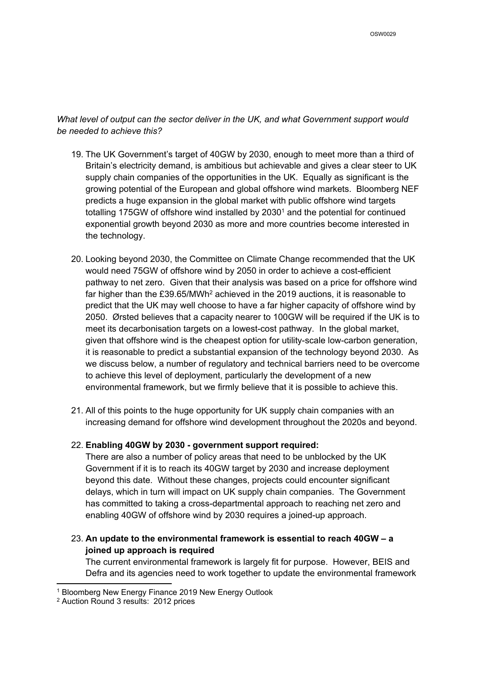*What level of output can the sector deliver in the UK, and what Government support would be needed to achieve this?*

- 19. The UK Government's target of 40GW by 2030, enough to meet more than a third of Britain's electricity demand, is ambitious but achievable and gives a clear steer to UK supply chain companies of the opportunities in the UK. Equally as significant is the growing potential of the European and global offshore wind markets. Bloomberg NEF predicts a huge expansion in the global market with public offshore wind targets totalling 175GW of offshore wind installed by 2030<sup>1</sup> and the potential for continued exponential growth beyond 2030 as more and more countries become interested in the technology.
- 20. Looking beyond 2030, the Committee on Climate Change recommended that the UK would need 75GW of offshore wind by 2050 in order to achieve a cost-efficient pathway to net zero. Given that their analysis was based on a price for offshore wind far higher than the £39.65/MWh<sup>2</sup> achieved in the 2019 auctions, it is reasonable to predict that the UK may well choose to have a far higher capacity of offshore wind by 2050. Ørsted believes that a capacity nearer to 100GW will be required if the UK is to meet its decarbonisation targets on a lowest-cost pathway. In the global market, given that offshore wind is the cheapest option for utility-scale low-carbon generation, it is reasonable to predict a substantial expansion of the technology beyond 2030. As we discuss below, a number of regulatory and technical barriers need to be overcome to achieve this level of deployment, particularly the development of a new environmental framework, but we firmly believe that it is possible to achieve this.
- 21. All of this points to the huge opportunity for UK supply chain companies with an increasing demand for offshore wind development throughout the 2020s and beyond.

## 22. **Enabling 40GW by 2030 - government support required:**

There are also a number of policy areas that need to be unblocked by the UK Government if it is to reach its 40GW target by 2030 and increase deployment beyond this date. Without these changes, projects could encounter significant delays, which in turn will impact on UK supply chain companies. The Government has committed to taking a cross-departmental approach to reaching net zero and enabling 40GW of offshore wind by 2030 requires a joined-up approach.

23. **An update to the environmental framework is essential to reach 40GW – a joined up approach is required**

The current environmental framework is largely fit for purpose. However, BEIS and Defra and its agencies need to work together to update the environmental framework

<sup>1</sup> Bloomberg New Energy Finance 2019 New Energy Outlook

<sup>2</sup> Auction Round 3 results: 2012 prices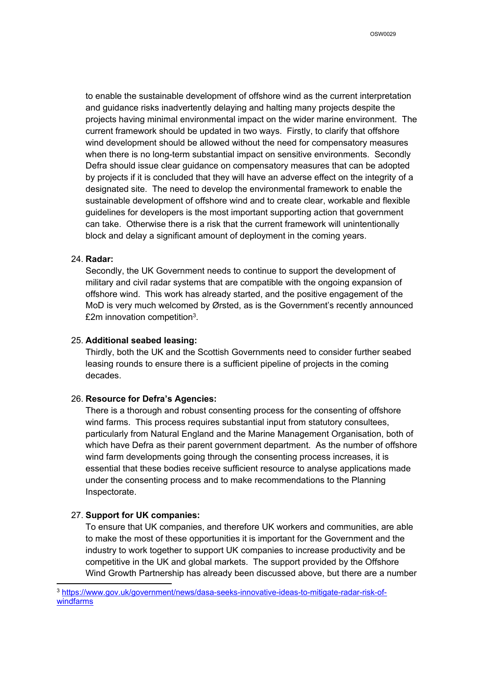to enable the sustainable development of offshore wind as the current interpretation and guidance risks inadvertently delaying and halting many projects despite the projects having minimal environmental impact on the wider marine environment. The current framework should be updated in two ways. Firstly, to clarify that offshore wind development should be allowed without the need for compensatory measures when there is no long-term substantial impact on sensitive environments. Secondly Defra should issue clear guidance on compensatory measures that can be adopted by projects if it is concluded that they will have an adverse effect on the integrity of a designated site. The need to develop the environmental framework to enable the sustainable development of offshore wind and to create clear, workable and flexible guidelines for developers is the most important supporting action that government can take. Otherwise there is a risk that the current framework will unintentionally block and delay a significant amount of deployment in the coming years.

## 24. **Radar:**

Secondly, the UK Government needs to continue to support the development of military and civil radar systems that are compatible with the ongoing expansion of offshore wind. This work has already started, and the positive engagement of the MoD is very much welcomed by Ørsted, as is the Government's recently announced £2m innovation competition<sup>3</sup>.

## 25. **Additional seabed leasing:**

Thirdly, both the UK and the Scottish Governments need to consider further seabed leasing rounds to ensure there is a sufficient pipeline of projects in the coming decades.

## 26. **Resource for Defra's Agencies:**

There is a thorough and robust consenting process for the consenting of offshore wind farms. This process requires substantial input from statutory consultees, particularly from Natural England and the Marine Management Organisation, both of which have Defra as their parent government department. As the number of offshore wind farm developments going through the consenting process increases, it is essential that these bodies receive sufficient resource to analyse applications made under the consenting process and to make recommendations to the Planning Inspectorate.

## 27. **Support for UK companies:**

To ensure that UK companies, and therefore UK workers and communities, are able to make the most of these opportunities it is important for the Government and the industry to work together to support UK companies to increase productivity and be competitive in the UK and global markets. The support provided by the Offshore Wind Growth Partnership has already been discussed above, but there are a number

<sup>3</sup> [https://www.gov.uk/government/news/dasa-seeks-innovative-ideas-to-mitigate-radar-risk-of](https://www.gov.uk/government/news/dasa-seeks-innovative-ideas-to-mitigate-radar-risk-of-windfarms)[windfarms](https://www.gov.uk/government/news/dasa-seeks-innovative-ideas-to-mitigate-radar-risk-of-windfarms)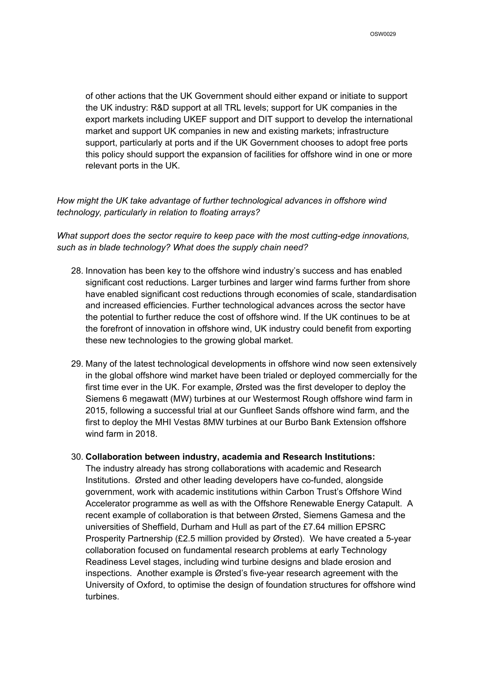of other actions that the UK Government should either expand or initiate to support the UK industry: R&D support at all TRL levels; support for UK companies in the export markets including UKEF support and DIT support to develop the international market and support UK companies in new and existing markets; infrastructure support, particularly at ports and if the UK Government chooses to adopt free ports this policy should support the expansion of facilities for offshore wind in one or more relevant ports in the UK.

## *How might the UK take advantage of further technological advances in offshore wind technology, particularly in relation to floating arrays?*

*What support does the sector require to keep pace with the most cutting-edge innovations, such as in blade technology? What does the supply chain need?*

- 28. Innovation has been key to the offshore wind industry's success and has enabled significant cost reductions. Larger turbines and larger wind farms further from shore have enabled significant cost reductions through economies of scale, standardisation and increased efficiencies. Further technological advances across the sector have the potential to further reduce the cost of offshore wind. If the UK continues to be at the forefront of innovation in offshore wind, UK industry could benefit from exporting these new technologies to the growing global market.
- 29. Many of the latest technological developments in offshore wind now seen extensively in the global offshore wind market have been trialed or deployed commercially for the first time ever in the UK. For example, Ørsted was the first developer to deploy the Siemens 6 megawatt (MW) turbines at our Westermost Rough offshore wind farm in 2015, following a successful trial at our Gunfleet Sands offshore wind farm, and the first to deploy the MHI Vestas 8MW turbines at our Burbo Bank Extension offshore wind farm in 2018.

## 30. **Collaboration between industry, academia and Research Institutions:**

The industry already has strong collaborations with academic and Research Institutions. Ørsted and other leading developers have co-funded, alongside government, work with academic institutions within Carbon Trust's Offshore Wind Accelerator programme as well as with the Offshore Renewable Energy Catapult. A recent example of collaboration is that between Ørsted, Siemens Gamesa and the universities of Sheffield, Durham and Hull as part of the £7.64 million EPSRC Prosperity Partnership (£2.5 million provided by Ørsted). We have created a 5-year collaboration focused on fundamental research problems at early Technology Readiness Level stages, including wind turbine designs and blade erosion and inspections. Another example is Ørsted's five-year research agreement with the University of Oxford, to optimise the design of foundation structures for offshore wind turbines.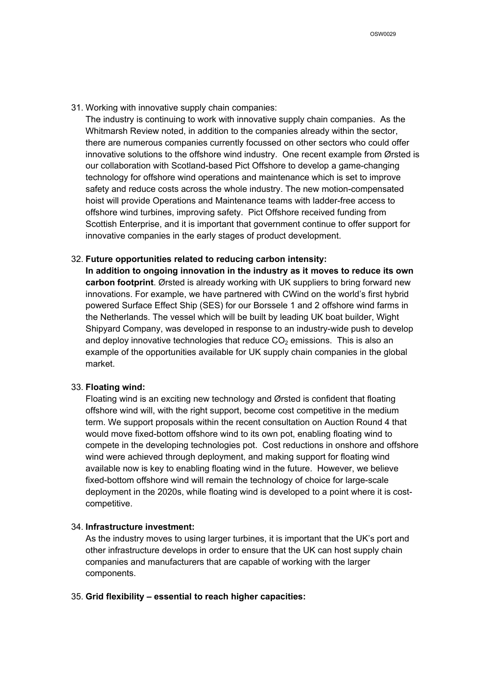31. Working with innovative supply chain companies:

The industry is continuing to work with innovative supply chain companies. As the Whitmarsh Review noted, in addition to the companies already within the sector, there are numerous companies currently focussed on other sectors who could offer innovative solutions to the offshore wind industry. One recent example from Ørsted is our collaboration with Scotland-based Pict Offshore to develop a game-changing technology for offshore wind operations and maintenance which is set to improve safety and reduce costs across the whole industry. The new motion-compensated hoist will provide Operations and Maintenance teams with ladder-free access to offshore wind turbines, improving safety. Pict Offshore received funding from Scottish Enterprise, and it is important that government continue to offer support for innovative companies in the early stages of product development.

### 32. **Future opportunities related to reducing carbon intensity:**

**In addition to ongoing innovation in the industry as it moves to reduce its own carbon footprint**. Ørsted is already working with UK suppliers to bring forward new innovations. For example, we have partnered with CWind on the world's first hybrid powered Surface Effect Ship (SES) for our Borssele 1 and 2 offshore wind farms in the Netherlands. The vessel which will be built by leading UK boat builder, Wight Shipyard Company, was developed in response to an industry-wide push to develop and deploy innovative technologies that reduce  $CO<sub>2</sub>$  emissions. This is also an example of the opportunities available for UK supply chain companies in the global market.

#### 33. **Floating wind:**

Floating wind is an exciting new technology and Ørsted is confident that floating offshore wind will, with the right support, become cost competitive in the medium term. We support proposals within the recent consultation on Auction Round 4 that would move fixed-bottom offshore wind to its own pot, enabling floating wind to compete in the developing technologies pot. Cost reductions in onshore and offshore wind were achieved through deployment, and making support for floating wind available now is key to enabling floating wind in the future. However, we believe fixed-bottom offshore wind will remain the technology of choice for large-scale deployment in the 2020s, while floating wind is developed to a point where it is costcompetitive.

## 34. **Infrastructure investment:**

As the industry moves to using larger turbines, it is important that the UK's port and other infrastructure develops in order to ensure that the UK can host supply chain companies and manufacturers that are capable of working with the larger components.

#### 35. **Grid flexibility – essential to reach higher capacities:**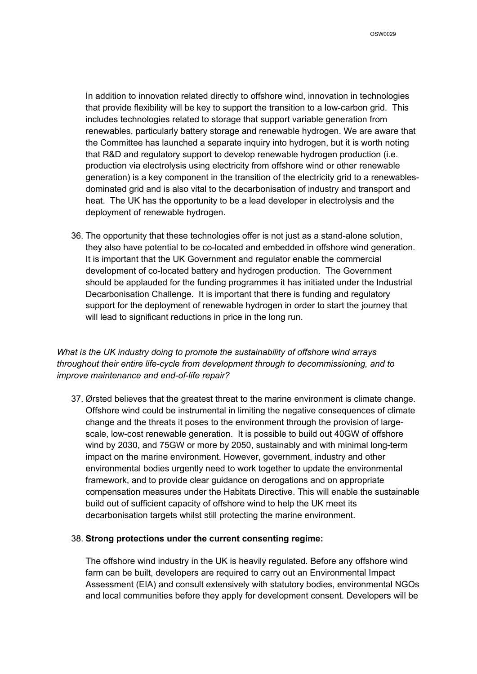In addition to innovation related directly to offshore wind, innovation in technologies that provide flexibility will be key to support the transition to a low-carbon grid. This includes technologies related to storage that support variable generation from renewables, particularly battery storage and renewable hydrogen. We are aware that the Committee has launched a separate inquiry into hydrogen, but it is worth noting that R&D and regulatory support to develop renewable hydrogen production (i.e. production via electrolysis using electricity from offshore wind or other renewable generation) is a key component in the transition of the electricity grid to a renewablesdominated grid and is also vital to the decarbonisation of industry and transport and heat. The UK has the opportunity to be a lead developer in electrolysis and the deployment of renewable hydrogen.

36. The opportunity that these technologies offer is not just as a stand-alone solution, they also have potential to be co-located and embedded in offshore wind generation. It is important that the UK Government and regulator enable the commercial development of co-located battery and hydrogen production. The Government should be applauded for the funding programmes it has initiated under the Industrial Decarbonisation Challenge. It is important that there is funding and regulatory support for the deployment of renewable hydrogen in order to start the journey that will lead to significant reductions in price in the long run.

## *What is the UK industry doing to promote the sustainability of offshore wind arrays throughout their entire life-cycle from development through to decommissioning, and to improve maintenance and end-of-life repair?*

37. Ørsted believes that the greatest threat to the marine environment is climate change. Offshore wind could be instrumental in limiting the negative consequences of climate change and the threats it poses to the environment through the provision of largescale, low-cost renewable generation. It is possible to build out 40GW of offshore wind by 2030, and 75GW or more by 2050, sustainably and with minimal long-term impact on the marine environment. However, government, industry and other environmental bodies urgently need to work together to update the environmental framework, and to provide clear guidance on derogations and on appropriate compensation measures under the Habitats Directive. This will enable the sustainable build out of sufficient capacity of offshore wind to help the UK meet its decarbonisation targets whilst still protecting the marine environment.

### 38. **Strong protections under the current consenting regime:**

The offshore wind industry in the UK is heavily regulated. Before any offshore wind farm can be built, developers are required to carry out an Environmental Impact Assessment (EIA) and consult extensively with statutory bodies, environmental NGOs and local communities before they apply for development consent. Developers will be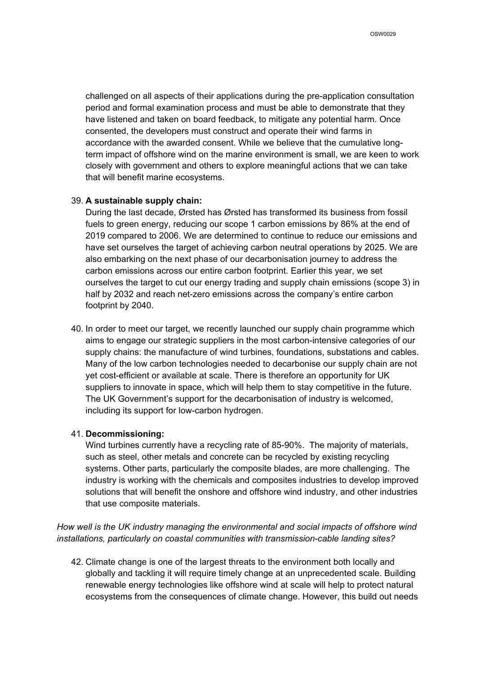challenged on all aspects of their applications during the pre-application consultation period and formal examination process and must be able to demonstrate that they have listened and taken on board feedback, to mitigate any potential harm. Once consented, the developers must construct and operate their wind farms in accordance with the awarded consent. While we believe that the cumulative longterm impact of offshore wind on the marine environment is small, we are keen to work closely with government and others to explore meaningful actions that we can take that will benefit marine ecosystems.

### 39. **A sustainable supply chain:**

During the last decade, Ørsted has Ørsted has transformed its business from fossil fuels to green energy, reducing our scope 1 carbon emissions by 86% at the end of 2019 compared to 2006. We are determined to continue to reduce our emissions and have set ourselves the target of achieving carbon neutral operations by 2025. We are also embarking on the next phase of our decarbonisation journey to address the carbon emissions across our entire carbon footprint. Earlier this year, we set ourselves the target to cut our energy trading and supply chain emissions (scope 3) in half by 2032 and reach net-zero emissions across the company's entire carbon footprint by 2040.

40. In order to meet our target, we recently launched our supply chain programme which aims to engage our strategic suppliers in the most carbon-intensive categories of our supply chains: the manufacture of wind turbines, foundations, substations and cables. Many of the low carbon technologies needed to decarbonise our supply chain are not yet cost-efficient or available at scale. There is therefore an opportunity for UK suppliers to innovate in space, which will help them to stay competitive in the future. The UK Government's support for the decarbonisation of industry is welcomed, including its support for low-carbon hydrogen.

## 41. **Decommissioning:**

Wind turbines currently have a recycling rate of 85-90%. The majority of materials, such as steel, other metals and concrete can be recycled by existing recycling systems. Other parts, particularly the composite blades, are more challenging. The industry is working with the chemicals and composites industries to develop improved solutions that will benefit the onshore and offshore wind industry, and other industries that use composite materials.

*How well is the UK industry managing the environmental and social impacts of offshore wind installations, particularly on coastal communities with transmission-cable landing sites?*

42. Climate change is one of the largest threats to the environment both locally and globally and tackling it will require timely change at an unprecedented scale. Building renewable energy technologies like offshore wind at scale will help to protect natural ecosystems from the consequences of climate change. However, this build out needs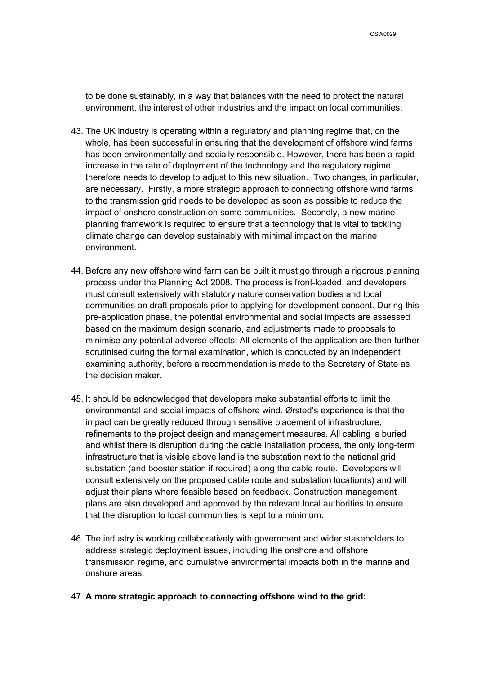to be done sustainably, in a way that balances with the need to protect the natural environment, the interest of other industries and the impact on local communities.

- 43. The UK industry is operating within a regulatory and planning regime that, on the whole, has been successful in ensuring that the development of offshore wind farms has been environmentally and socially responsible. However, there has been a rapid increase in the rate of deployment of the technology and the regulatory regime therefore needs to develop to adjust to this new situation. Two changes, in particular, are necessary. Firstly, a more strategic approach to connecting offshore wind farms to the transmission grid needs to be developed as soon as possible to reduce the impact of onshore construction on some communities. Secondly, a new marine planning framework is required to ensure that a technology that is vital to tackling climate change can develop sustainably with minimal impact on the marine environment.
- 44. Before any new offshore wind farm can be built it must go through a rigorous planning process under the Planning Act 2008. The process is front-loaded, and developers must consult extensively with statutory nature conservation bodies and local communities on draft proposals prior to applying for development consent. During this pre-application phase, the potential environmental and social impacts are assessed based on the maximum design scenario, and adjustments made to proposals to minimise any potential adverse effects. All elements of the application are then further scrutinised during the formal examination, which is conducted by an independent examining authority, before a recommendation is made to the Secretary of State as the decision maker.
- 45. It should be acknowledged that developers make substantial efforts to limit the environmental and social impacts of offshore wind. Ørsted's experience is that the impact can be greatly reduced through sensitive placement of infrastructure, refinements to the project design and management measures. All cabling is buried and whilst there is disruption during the cable installation process, the only long-term infrastructure that is visible above land is the substation next to the national grid substation (and booster station if required) along the cable route. Developers will consult extensively on the proposed cable route and substation location(s) and will adjust their plans where feasible based on feedback. Construction management plans are also developed and approved by the relevant local authorities to ensure that the disruption to local communities is kept to a minimum.
- 46. The industry is working collaboratively with government and wider stakeholders to address strategic deployment issues, including the onshore and offshore transmission regime, and cumulative environmental impacts both in the marine and onshore areas.
- 47. **A more strategic approach to connecting offshore wind to the grid:**